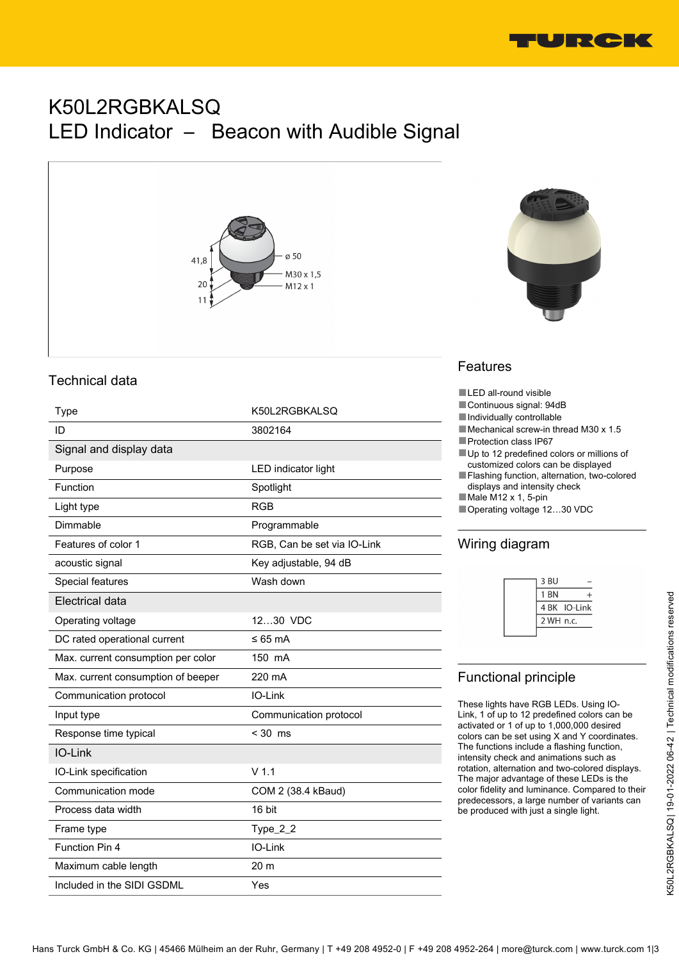

# K50L2RGBKALSQ LED Indicator – Beacon with Audible Signal



### Technical data

| Type                               | K50L2RGBKALSQ               |
|------------------------------------|-----------------------------|
| ID                                 | 3802164                     |
| Signal and display data            |                             |
| Purpose                            | LED indicator light         |
| Function                           | Spotlight                   |
| Light type                         | <b>RGB</b>                  |
| Dimmable                           | Programmable                |
| Features of color 1                | RGB, Can be set via IO-Link |
| acoustic signal                    | Key adjustable, 94 dB       |
| Special features                   | Wash down                   |
| Electrical data                    |                             |
| Operating voltage                  | 1230 VDC                    |
| DC rated operational current       | ≤ 65 mA                     |
| Max. current consumption per color | 150 mA                      |
| Max. current consumption of beeper | 220 mA                      |
| Communication protocol             | IO-Link                     |
| Input type                         | Communication protocol      |
| Response time typical              | $< 30$ ms                   |
| IO-Link                            |                             |
| IO-Link specification              | $V$ 1.1                     |
| Communication mode                 | COM 2 (38.4 kBaud)          |
| Process data width                 | 16 bit                      |
| Frame type                         | Type_2_2                    |
| Function Pin 4                     | IO-Link                     |
| Maximum cable length               | 20 m                        |
| Included in the SIDI GSDML         | Yes                         |



## Features

- ■LED all-round visible
- Continuous signal: 94dB
- ■Individually controllable
- ■Mechanical screw-in thread M30 x 1.5
- ■Protection class IP67
- Up to 12 predefined colors or millions of customized colors can be displayed
- Flashing function, alternation, two-colored displays and intensity check
- ■Male M12 x 1, 5-pin
- ■Operating voltage 12…30 VDC

## Wiring diagram

| 3 BU            |              |
|-----------------|--------------|
| 1 <sub>BN</sub> |              |
|                 | 4 BK IO-Link |
| 2 WH n.c.       |              |
|                 |              |

## Functional principle

These lights have RGB LEDs. Using IO-Link, 1 of up to 12 predefined colors can be activated or 1 of up to 1,000,000 desired colors can be set using X and Y coordinates. The functions include a flashing function, intensity check and animations such as rotation, alternation and two-colored displays. The major advantage of these LEDs is the color fidelity and luminance. Compared to their predecessors, a large number of variants can be produced with just a single light.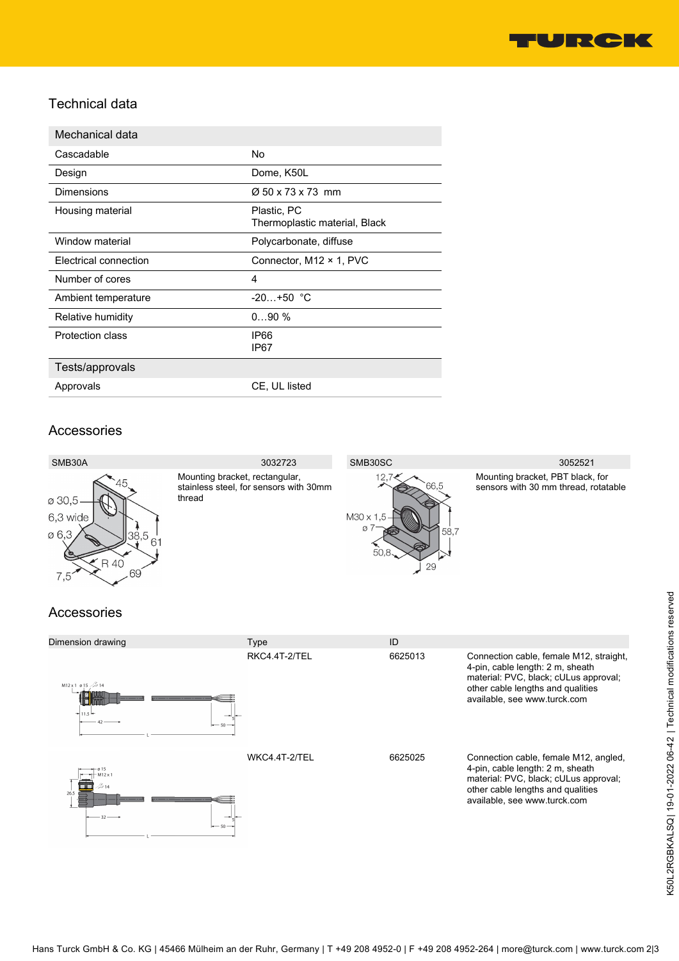

#### Technical data

| Mechanical data       |                                              |
|-----------------------|----------------------------------------------|
| Cascadable            | No                                           |
| Design                | Dome, K50L                                   |
| Dimensions            | $\varnothing$ 50 x 73 x 73 mm                |
| Housing material      | Plastic, PC<br>Thermoplastic material, Black |
| Window material       | Polycarbonate, diffuse                       |
| Electrical connection | Connector, M12 × 1, PVC                      |
| Number of cores       | 4                                            |
| Ambient temperature   | $-20+50$ °C                                  |
| Relative humidity     | 090%                                         |
| Protection class      | IP66<br>IP67                                 |
| Tests/approvals       |                                              |
| Approvals             | CE, UL listed                                |

#### Accessories